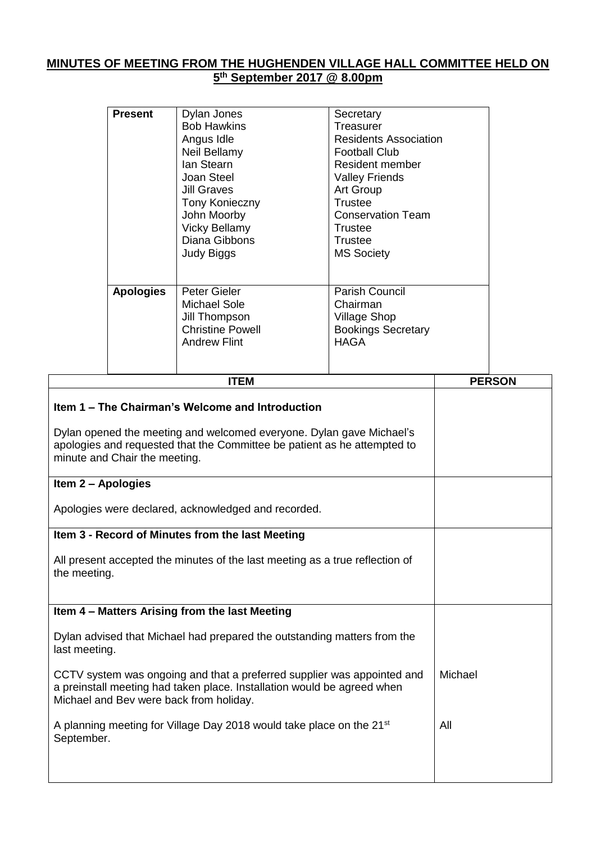## **MINUTES OF MEETING FROM THE HUGHENDEN VILLAGE HALL COMMITTEE HELD ON 5 th September 2017 @ 8.00pm**

| Joan Steel<br><b>Valley Friends</b><br>Jill Graves<br>Art Group<br><b>Trustee</b><br>Tony Konieczny<br><b>Conservation Team</b><br>John Moorby<br><b>Vicky Bellamy</b><br>Trustee<br>Diana Gibbons<br>Trustee<br><b>MS Society</b><br>Judy Biggs<br><b>Apologies</b><br>Parish Council<br>Peter Gieler<br>Michael Sole<br>Chairman<br>Jill Thompson<br>Village Shop<br><b>Christine Powell</b><br><b>Bookings Secretary</b><br><b>HAGA</b><br><b>Andrew Flint</b> |  | ITEM       |                 | <b>PERSON</b> |
|-------------------------------------------------------------------------------------------------------------------------------------------------------------------------------------------------------------------------------------------------------------------------------------------------------------------------------------------------------------------------------------------------------------------------------------------------------------------|--|------------|-----------------|---------------|
|                                                                                                                                                                                                                                                                                                                                                                                                                                                                   |  |            |                 |               |
|                                                                                                                                                                                                                                                                                                                                                                                                                                                                   |  |            |                 |               |
| <b>Present</b><br>Dylan Jones<br>Secretary<br><b>Bob Hawkins</b><br>Treasurer<br>Angus Idle<br>Residents Association<br>Neil Bellamy<br><b>Football Club</b>                                                                                                                                                                                                                                                                                                      |  | lan Stearn | Resident member |               |

┑

| Item 1 – The Chairman's Welcome and Introduction                                                                                                                                              |         |
|-----------------------------------------------------------------------------------------------------------------------------------------------------------------------------------------------|---------|
| Dylan opened the meeting and welcomed everyone. Dylan gave Michael's<br>apologies and requested that the Committee be patient as he attempted to<br>minute and Chair the meeting.             |         |
| Item 2 - Apologies                                                                                                                                                                            |         |
| Apologies were declared, acknowledged and recorded.                                                                                                                                           |         |
| Item 3 - Record of Minutes from the last Meeting                                                                                                                                              |         |
| All present accepted the minutes of the last meeting as a true reflection of<br>the meeting.                                                                                                  |         |
| Item 4 - Matters Arising from the last Meeting                                                                                                                                                |         |
| Dylan advised that Michael had prepared the outstanding matters from the<br>last meeting.                                                                                                     |         |
| CCTV system was ongoing and that a preferred supplier was appointed and<br>a preinstall meeting had taken place. Installation would be agreed when<br>Michael and Bev were back from holiday. | Michael |
| A planning meeting for Village Day 2018 would take place on the 21 <sup>st</sup><br>September.                                                                                                | All     |
|                                                                                                                                                                                               |         |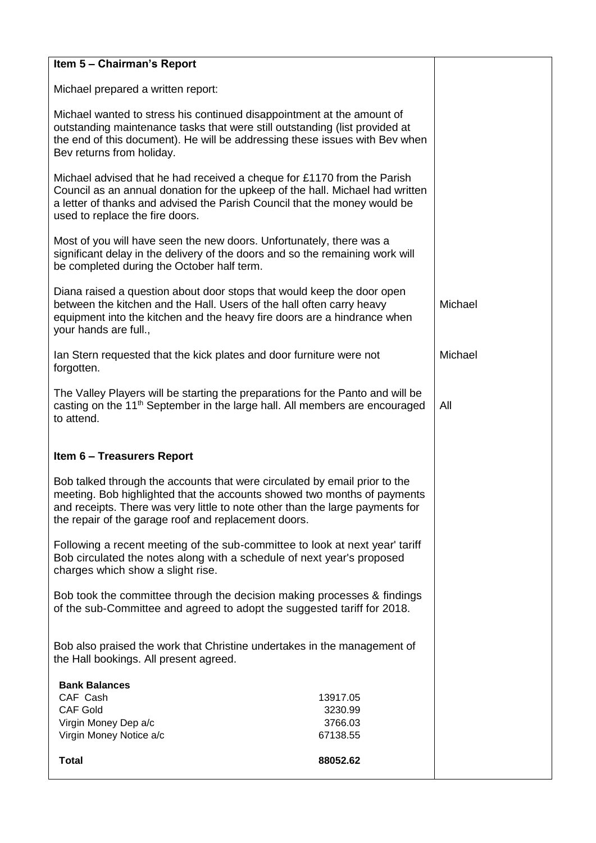| Item 5 - Chairman's Report                                                                                                                                                                                                                                                                      |                     |         |  |
|-------------------------------------------------------------------------------------------------------------------------------------------------------------------------------------------------------------------------------------------------------------------------------------------------|---------------------|---------|--|
| Michael prepared a written report:                                                                                                                                                                                                                                                              |                     |         |  |
| Michael wanted to stress his continued disappointment at the amount of<br>outstanding maintenance tasks that were still outstanding (list provided at<br>the end of this document). He will be addressing these issues with Bev when<br>Bev returns from holiday.                               |                     |         |  |
| Michael advised that he had received a cheque for £1170 from the Parish<br>Council as an annual donation for the upkeep of the hall. Michael had written<br>a letter of thanks and advised the Parish Council that the money would be<br>used to replace the fire doors.                        |                     |         |  |
| Most of you will have seen the new doors. Unfortunately, there was a<br>significant delay in the delivery of the doors and so the remaining work will<br>be completed during the October half term.                                                                                             |                     |         |  |
| Diana raised a question about door stops that would keep the door open<br>between the kitchen and the Hall. Users of the hall often carry heavy<br>equipment into the kitchen and the heavy fire doors are a hindrance when<br>your hands are full.,                                            | Michael             |         |  |
| Ian Stern requested that the kick plates and door furniture were not<br>forgotten.                                                                                                                                                                                                              |                     | Michael |  |
| The Valley Players will be starting the preparations for the Panto and will be<br>casting on the 11 <sup>th</sup> September in the large hall. All members are encouraged<br>All<br>to attend.                                                                                                  |                     |         |  |
| Item 6 - Treasurers Report                                                                                                                                                                                                                                                                      |                     |         |  |
| Bob talked through the accounts that were circulated by email prior to the<br>meeting. Bob highlighted that the accounts showed two months of payments<br>and receipts. There was very little to note other than the large payments for<br>the repair of the garage roof and replacement doors. |                     |         |  |
| Following a recent meeting of the sub-committee to look at next year' tariff<br>Bob circulated the notes along with a schedule of next year's proposed<br>charges which show a slight rise.                                                                                                     |                     |         |  |
| Bob took the committee through the decision making processes & findings<br>of the sub-Committee and agreed to adopt the suggested tariff for 2018.                                                                                                                                              |                     |         |  |
| Bob also praised the work that Christine undertakes in the management of<br>the Hall bookings. All present agreed.                                                                                                                                                                              |                     |         |  |
| <b>Bank Balances</b>                                                                                                                                                                                                                                                                            |                     |         |  |
| CAF Cash<br><b>CAF Gold</b>                                                                                                                                                                                                                                                                     | 13917.05<br>3230.99 |         |  |
| Virgin Money Dep a/c<br>3766.03<br>Virgin Money Notice a/c<br>67138.55                                                                                                                                                                                                                          |                     |         |  |
| <b>Total</b>                                                                                                                                                                                                                                                                                    | 88052.62            |         |  |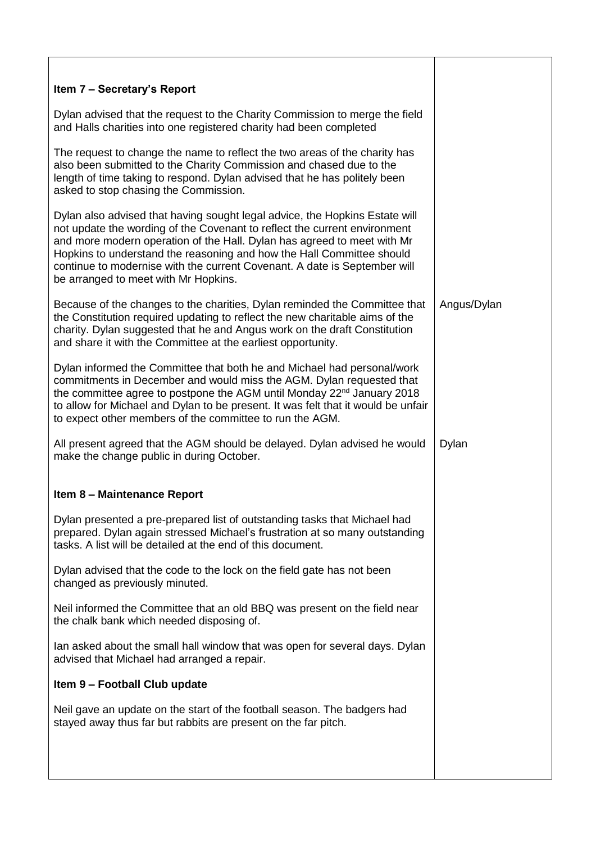| Item 7 - Secretary's Report                                                                                                                                                                                                                                                                                                                                                                                                       |             |
|-----------------------------------------------------------------------------------------------------------------------------------------------------------------------------------------------------------------------------------------------------------------------------------------------------------------------------------------------------------------------------------------------------------------------------------|-------------|
| Dylan advised that the request to the Charity Commission to merge the field<br>and Halls charities into one registered charity had been completed                                                                                                                                                                                                                                                                                 |             |
| The request to change the name to reflect the two areas of the charity has<br>also been submitted to the Charity Commission and chased due to the<br>length of time taking to respond. Dylan advised that he has politely been<br>asked to stop chasing the Commission.                                                                                                                                                           |             |
| Dylan also advised that having sought legal advice, the Hopkins Estate will<br>not update the wording of the Covenant to reflect the current environment<br>and more modern operation of the Hall. Dylan has agreed to meet with Mr<br>Hopkins to understand the reasoning and how the Hall Committee should<br>continue to modernise with the current Covenant. A date is September will<br>be arranged to meet with Mr Hopkins. |             |
| Because of the changes to the charities, Dylan reminded the Committee that<br>the Constitution required updating to reflect the new charitable aims of the<br>charity. Dylan suggested that he and Angus work on the draft Constitution<br>and share it with the Committee at the earliest opportunity.                                                                                                                           | Angus/Dylan |
| Dylan informed the Committee that both he and Michael had personal/work<br>commitments in December and would miss the AGM. Dylan requested that<br>the committee agree to postpone the AGM until Monday 22 <sup>nd</sup> January 2018<br>to allow for Michael and Dylan to be present. It was felt that it would be unfair<br>to expect other members of the committee to run the AGM.                                            |             |
| All present agreed that the AGM should be delayed. Dylan advised he would<br>make the change public in during October.                                                                                                                                                                                                                                                                                                            | Dylan       |
| Item 8 - Maintenance Report                                                                                                                                                                                                                                                                                                                                                                                                       |             |
| Dylan presented a pre-prepared list of outstanding tasks that Michael had<br>prepared. Dylan again stressed Michael's frustration at so many outstanding<br>tasks. A list will be detailed at the end of this document.                                                                                                                                                                                                           |             |
| Dylan advised that the code to the lock on the field gate has not been<br>changed as previously minuted.                                                                                                                                                                                                                                                                                                                          |             |
| Neil informed the Committee that an old BBQ was present on the field near<br>the chalk bank which needed disposing of.                                                                                                                                                                                                                                                                                                            |             |
| lan asked about the small hall window that was open for several days. Dylan<br>advised that Michael had arranged a repair.                                                                                                                                                                                                                                                                                                        |             |
| Item 9 - Football Club update                                                                                                                                                                                                                                                                                                                                                                                                     |             |
| Neil gave an update on the start of the football season. The badgers had<br>stayed away thus far but rabbits are present on the far pitch.                                                                                                                                                                                                                                                                                        |             |
|                                                                                                                                                                                                                                                                                                                                                                                                                                   |             |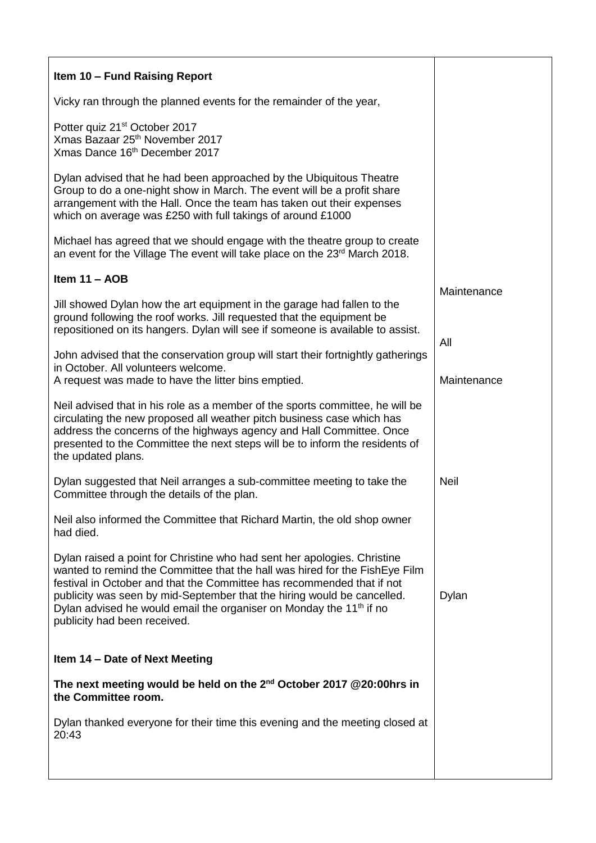| Item 10 - Fund Raising Report                                                                                                                                                                                                                                                                                                                                                                                                   |                    |
|---------------------------------------------------------------------------------------------------------------------------------------------------------------------------------------------------------------------------------------------------------------------------------------------------------------------------------------------------------------------------------------------------------------------------------|--------------------|
| Vicky ran through the planned events for the remainder of the year,                                                                                                                                                                                                                                                                                                                                                             |                    |
| Potter quiz 21 <sup>st</sup> October 2017<br>Xmas Bazaar 25 <sup>th</sup> November 2017<br>Xmas Dance 16th December 2017                                                                                                                                                                                                                                                                                                        |                    |
| Dylan advised that he had been approached by the Ubiquitous Theatre<br>Group to do a one-night show in March. The event will be a profit share<br>arrangement with the Hall. Once the team has taken out their expenses<br>which on average was £250 with full takings of around £1000                                                                                                                                          |                    |
| Michael has agreed that we should engage with the theatre group to create<br>an event for the Village The event will take place on the 23rd March 2018.                                                                                                                                                                                                                                                                         |                    |
| Item $11 - AOB$                                                                                                                                                                                                                                                                                                                                                                                                                 |                    |
| Jill showed Dylan how the art equipment in the garage had fallen to the<br>ground following the roof works. Jill requested that the equipment be<br>repositioned on its hangers. Dylan will see if someone is available to assist.                                                                                                                                                                                              | Maintenance        |
| John advised that the conservation group will start their fortnightly gatherings<br>in October. All volunteers welcome.<br>A request was made to have the litter bins emptied.                                                                                                                                                                                                                                                  | All<br>Maintenance |
| Neil advised that in his role as a member of the sports committee, he will be<br>circulating the new proposed all weather pitch business case which has<br>address the concerns of the highways agency and Hall Committee. Once<br>presented to the Committee the next steps will be to inform the residents of<br>the updated plans.                                                                                           |                    |
| Dylan suggested that Neil arranges a sub-committee meeting to take the<br>Committee through the details of the plan.                                                                                                                                                                                                                                                                                                            | <b>Neil</b>        |
| Neil also informed the Committee that Richard Martin, the old shop owner<br>had died.                                                                                                                                                                                                                                                                                                                                           |                    |
| Dylan raised a point for Christine who had sent her apologies. Christine<br>wanted to remind the Committee that the hall was hired for the FishEye Film<br>festival in October and that the Committee has recommended that if not<br>publicity was seen by mid-September that the hiring would be cancelled.<br>Dylan advised he would email the organiser on Monday the 11 <sup>th</sup> if no<br>publicity had been received. | Dylan              |
| Item 14 - Date of Next Meeting                                                                                                                                                                                                                                                                                                                                                                                                  |                    |
| The next meeting would be held on the 2 <sup>nd</sup> October 2017 @20:00hrs in<br>the Committee room.                                                                                                                                                                                                                                                                                                                          |                    |
| Dylan thanked everyone for their time this evening and the meeting closed at<br>20:43                                                                                                                                                                                                                                                                                                                                           |                    |
|                                                                                                                                                                                                                                                                                                                                                                                                                                 |                    |